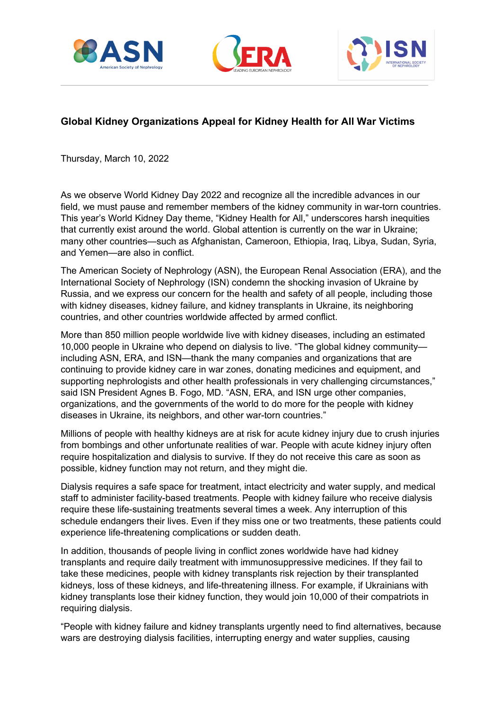





## **Global Kidney Organizations Appeal for Kidney Health for All War Victims**

Thursday, March 10, 2022

As we observe World Kidney Day 2022 and recognize all the incredible advances in our field, we must pause and remember members of the kidney community in war-torn countries. This year's World Kidney Day theme, "Kidney Health for All," underscores harsh inequities that currently exist around the world. Global attention is currently on the war in Ukraine; many other countries—such as Afghanistan, Cameroon, Ethiopia, Iraq, Libya, Sudan, Syria, and Yemen—are also in conflict.

The American Society of Nephrology (ASN), the European Renal Association (ERA), and the International Society of Nephrology (ISN) condemn the shocking invasion of Ukraine by Russia, and we express our concern for the health and safety of all people, including those with kidney diseases, kidney failure, and kidney transplants in Ukraine, its neighboring countries, and other countries worldwide affected by armed conflict.

More than 850 million people worldwide live with kidney diseases, including an estimated 10,000 people in Ukraine who depend on dialysis to live. "The global kidney community including ASN, ERA, and ISN—thank the many companies and organizations that are continuing to provide kidney care in war zones, donating medicines and equipment, and supporting nephrologists and other health professionals in very challenging circumstances," said ISN President Agnes B. Fogo, MD. "ASN, ERA, and ISN urge other companies, organizations, and the governments of the world to do more for the people with kidney diseases in Ukraine, its neighbors, and other war-torn countries."

Millions of people with healthy kidneys are at risk for acute kidney injury due to crush injuries from bombings and other unfortunate realities of war. People with acute kidney injury often require hospitalization and dialysis to survive. If they do not receive this care as soon as possible, kidney function may not return, and they might die.

Dialysis requires a safe space for treatment, intact electricity and water supply, and medical staff to administer facility-based treatments. People with kidney failure who receive dialysis require these life-sustaining treatments several times a week. Any interruption of this schedule endangers their lives. Even if they miss one or two treatments, these patients could experience life-threatening complications or sudden death.

In addition, thousands of people living in conflict zones worldwide have had kidney transplants and require daily treatment with immunosuppressive medicines. If they fail to take these medicines, people with kidney transplants risk rejection by their transplanted kidneys, loss of these kidneys, and life-threatening illness. For example, if Ukrainians with kidney transplants lose their kidney function, they would join 10,000 of their compatriots in requiring dialysis.

"People with kidney failure and kidney transplants urgently need to find alternatives, because wars are destroying dialysis facilities, interrupting energy and water supplies, causing